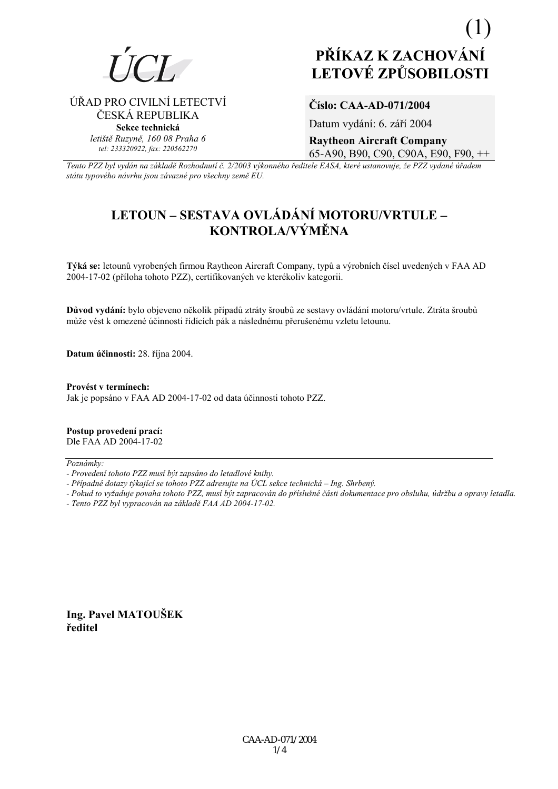

ÚŘAD PRO CIVILNÍ LETECTVÍ

ČESKÁ REPUBLIKA

Sekce technická letiště Ruzyně, 160 08 Praha 6

tel: 233320922, fax: 220562270

# PŘÍKAZ K ZACHOVÁNÍ **LETOVÉ ZPŮSOBILOSTI**

### Číslo: CAA-AD-071/2004

Datum vydání: 6. září 2004

**Raytheon Aircraft Company** 65-A90, B90, C90, C90A, E90, F90, ++

Tento PZZ byl vydán na základě Rozhodnutí č. 2/2003 výkonného ředitele EASA, které ustanovuje, že PZZ vydané úřadem státu typového návrhu jsou závazné pro všechny země EU.

## LETOUN – SESTAVA OVLÁDÁNÍ MOTORU/VRTULE – KONTROLA/VÝMĚNA

Týká se: letounů vyrobených firmou Raytheon Aircraft Company, typů a výrobních čísel uvedených v FAA AD 2004-17-02 (příloha tohoto PZZ), certifikovaných ve kterékoliv kategorii.

Důvod vydání: bylo objeveno několik případů ztráty šroubů ze sestavy ovládání motoru/vrtule. Ztráta šroubů může vést k omezené účinnosti řídících pák a následnému přerušenému vzletu letounu.

Datum účinnosti: 28. října 2004.

Provést v termínech: Jak je popsáno v FAA AD 2004-17-02 od data účinnosti tohoto PZZ.

Postup provedení prací: Dle FAA AD 2004-17-02

Poznámky:

- Případné dotazy týkající se tohoto PZZ adresujte na ÚCL sekce technická Ing. Shrbený.
- Pokud to vyžaduje povaha tohoto PZZ, musí být zapracován do příslušné části dokumentace pro obsluhu, údržbu a opravy letadla.

- Tento PZZ byl vypracován na základě FAA AD 2004-17-02.

Ing. Pavel MATOUŠEK ředitel

<sup>-</sup> Provedení tohoto PZZ musí být zapsáno do letadlové knihy.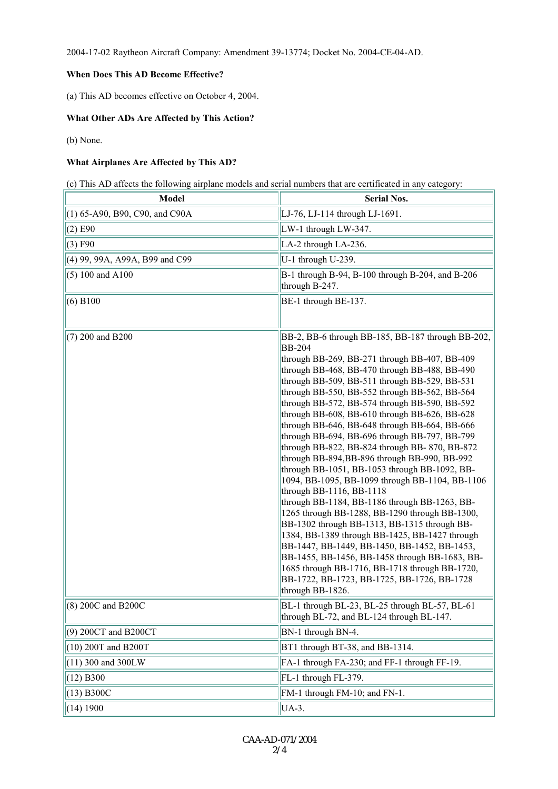2004-17-02 Raytheon Aircraft Company: Amendment 39-13774; Docket No. 2004-CE-04-AD.

#### **When Does This AD Become Effective?**

(a) This AD becomes effective on October 4, 2004.

#### **What Other ADs Are Affected by This Action?**

(b) None.

#### **What Airplanes Are Affected by This AD?**

(c) This AD affects the following airplane models and serial numbers that are certificated in any category:

| Model                            | <b>Serial Nos.</b>                                                                                                                                                                                                                                                                                                                                                                                                                                                                                                                                                                                                                                                                                                                                                                                                                                                                                                                                                                                                                                                                                                                       |  |  |
|----------------------------------|------------------------------------------------------------------------------------------------------------------------------------------------------------------------------------------------------------------------------------------------------------------------------------------------------------------------------------------------------------------------------------------------------------------------------------------------------------------------------------------------------------------------------------------------------------------------------------------------------------------------------------------------------------------------------------------------------------------------------------------------------------------------------------------------------------------------------------------------------------------------------------------------------------------------------------------------------------------------------------------------------------------------------------------------------------------------------------------------------------------------------------------|--|--|
| $(1)$ 65-A90, B90, C90, and C90A | LJ-76, LJ-114 through LJ-1691.                                                                                                                                                                                                                                                                                                                                                                                                                                                                                                                                                                                                                                                                                                                                                                                                                                                                                                                                                                                                                                                                                                           |  |  |
| $(2)$ E90                        | LW-1 through LW-347.                                                                                                                                                                                                                                                                                                                                                                                                                                                                                                                                                                                                                                                                                                                                                                                                                                                                                                                                                                                                                                                                                                                     |  |  |
| (3) F90                          | LA-2 through LA-236.                                                                                                                                                                                                                                                                                                                                                                                                                                                                                                                                                                                                                                                                                                                                                                                                                                                                                                                                                                                                                                                                                                                     |  |  |
| (4) 99, 99A, A99A, B99 and C99   | U-1 through U-239.                                                                                                                                                                                                                                                                                                                                                                                                                                                                                                                                                                                                                                                                                                                                                                                                                                                                                                                                                                                                                                                                                                                       |  |  |
| $(5) 100$ and A100               | B-1 through B-94, B-100 through B-204, and B-206<br>through B-247.                                                                                                                                                                                                                                                                                                                                                                                                                                                                                                                                                                                                                                                                                                                                                                                                                                                                                                                                                                                                                                                                       |  |  |
| (6) B100                         | BE-1 through BE-137.                                                                                                                                                                                                                                                                                                                                                                                                                                                                                                                                                                                                                                                                                                                                                                                                                                                                                                                                                                                                                                                                                                                     |  |  |
| $(7)$ 200 and B200               | BB-2, BB-6 through BB-185, BB-187 through BB-202,<br><b>BB-204</b><br>through BB-269, BB-271 through BB-407, BB-409<br>through BB-468, BB-470 through BB-488, BB-490<br>through BB-509, BB-511 through BB-529, BB-531<br>through BB-550, BB-552 through BB-562, BB-564<br>through BB-572, BB-574 through BB-590, BB-592<br>through BB-608, BB-610 through BB-626, BB-628<br>through BB-646, BB-648 through BB-664, BB-666<br>through BB-694, BB-696 through BB-797, BB-799<br>through BB-822, BB-824 through BB-870, BB-872<br>through BB-894, BB-896 through BB-990, BB-992<br>through BB-1051, BB-1053 through BB-1092, BB-<br>1094, BB-1095, BB-1099 through BB-1104, BB-1106<br>through BB-1116, BB-1118<br>through BB-1184, BB-1186 through BB-1263, BB-<br>1265 through BB-1288, BB-1290 through BB-1300,<br>BB-1302 through BB-1313, BB-1315 through BB-<br>1384, BB-1389 through BB-1425, BB-1427 through<br>BB-1447, BB-1449, BB-1450, BB-1452, BB-1453,<br>BB-1455, BB-1456, BB-1458 through BB-1683, BB-<br>1685 through BB-1716, BB-1718 through BB-1720,<br>BB-1722, BB-1723, BB-1725, BB-1726, BB-1728<br>through BB-1826. |  |  |
| (8) 200C and B200C               | BL-1 through BL-23, BL-25 through BL-57, BL-61<br>through BL-72, and BL-124 through BL-147.                                                                                                                                                                                                                                                                                                                                                                                                                                                                                                                                                                                                                                                                                                                                                                                                                                                                                                                                                                                                                                              |  |  |
| (9) 200CT and B200CT             | BN-1 through BN-4.                                                                                                                                                                                                                                                                                                                                                                                                                                                                                                                                                                                                                                                                                                                                                                                                                                                                                                                                                                                                                                                                                                                       |  |  |
| (10) 200T and B200T              | BT1 through BT-38, and BB-1314.                                                                                                                                                                                                                                                                                                                                                                                                                                                                                                                                                                                                                                                                                                                                                                                                                                                                                                                                                                                                                                                                                                          |  |  |
| (11) 300 and 300LW               | FA-1 through FA-230; and FF-1 through FF-19.                                                                                                                                                                                                                                                                                                                                                                                                                                                                                                                                                                                                                                                                                                                                                                                                                                                                                                                                                                                                                                                                                             |  |  |
| (12) B300                        | FL-1 through FL-379.                                                                                                                                                                                                                                                                                                                                                                                                                                                                                                                                                                                                                                                                                                                                                                                                                                                                                                                                                                                                                                                                                                                     |  |  |
| (13) B300C                       | FM-1 through FM-10; and FN-1.                                                                                                                                                                                                                                                                                                                                                                                                                                                                                                                                                                                                                                                                                                                                                                                                                                                                                                                                                                                                                                                                                                            |  |  |
| (14) 1900                        | UA-3.                                                                                                                                                                                                                                                                                                                                                                                                                                                                                                                                                                                                                                                                                                                                                                                                                                                                                                                                                                                                                                                                                                                                    |  |  |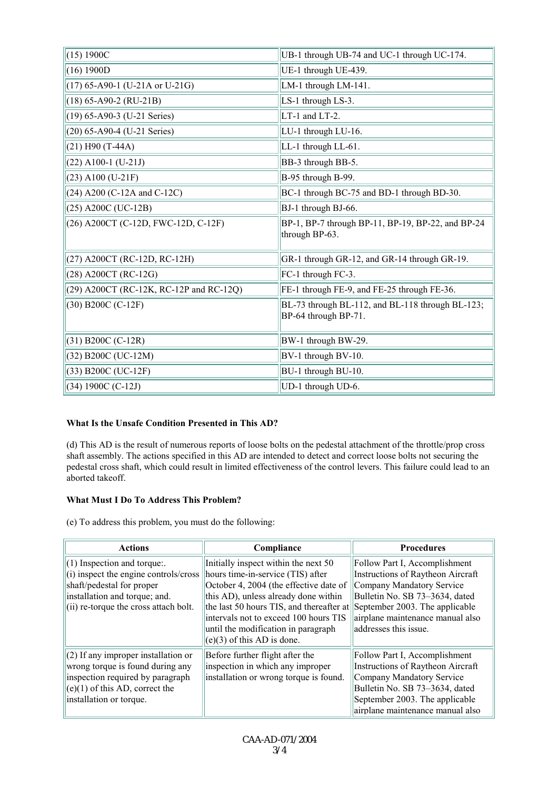| (15) 1900C                              | UB-1 through UB-74 and UC-1 through UC-174.                              |
|-----------------------------------------|--------------------------------------------------------------------------|
| (16) 1900D                              | UE-1 through UE-439.                                                     |
| $(17)$ 65-A90-1 (U-21A or U-21G)        | LM-1 through LM-141.                                                     |
| $(18) 65 - A90 - 2 (RU-21B)$            | LS-1 through LS-3.                                                       |
| $(19)$ 65-A90-3 (U-21 Series)           | LT-1 and LT-2.                                                           |
| (20) 65-A90-4 (U-21 Series)             | LU-1 through LU-16.                                                      |
| $(21)$ H90 (T-44A)                      | LL-1 through LL-61.                                                      |
| $(22)$ A100-1 (U-21J)                   | BB-3 through BB-5.                                                       |
| $(23)$ A100 (U-21F)                     | B-95 through B-99.                                                       |
| (24) A200 (C-12A and C-12C)             | BC-1 through BC-75 and BD-1 through BD-30.                               |
| (25) A200C (UC-12B)                     | BJ-1 through BJ-66.                                                      |
| (26) A200CT (C-12D, FWC-12D, C-12F)     | BP-1, BP-7 through BP-11, BP-19, BP-22, and BP-24<br>through BP-63.      |
| (27) A200CT (RC-12D, RC-12H)            | GR-1 through GR-12, and GR-14 through GR-19.                             |
| (28) A200CT (RC-12G)                    | FC-1 through FC-3.                                                       |
| (29) A200CT (RC-12K, RC-12P and RC-12Q) | FE-1 through FE-9, and FE-25 through FE-36.                              |
| $(30)$ B200C $(C-12F)$                  | BL-73 through BL-112, and BL-118 through BL-123;<br>BP-64 through BP-71. |
| $(31)$ B200C (C-12R)                    | BW-1 through BW-29.                                                      |
| (32) B200C (UC-12M)                     | BV-1 through BV-10.                                                      |
| (33) B200C (UC-12F)                     | BU-1 through BU-10.                                                      |
| $(34) 1900C (C-12J)$                    | UD-1 through UD-6.                                                       |

#### **What Is the Unsafe Condition Presented in This AD?**

(d) This AD is the result of numerous reports of loose bolts on the pedestal attachment of the throttle/prop cross shaft assembly. The actions specified in this AD are intended to detect and correct loose bolts not securing the pedestal cross shaft, which could result in limited effectiveness of the control levers. This failure could lead to an aborted takeoff.

#### **What Must I Do To Address This Problem?**

(e) To address this problem, you must do the following:

| <b>Actions</b>                                                                                                                                                               | Compliance                                                                                                                                                                                                                                                                                                                                             | <b>Procedures</b>                                                                                                                                                                                       |
|------------------------------------------------------------------------------------------------------------------------------------------------------------------------------|--------------------------------------------------------------------------------------------------------------------------------------------------------------------------------------------------------------------------------------------------------------------------------------------------------------------------------------------------------|---------------------------------------------------------------------------------------------------------------------------------------------------------------------------------------------------------|
| $(1)$ Inspection and torque.<br>(i) inspect the engine controls/cross<br>shaft/pedestal for proper<br>installation and torque; and.<br>(ii) re-torque the cross attach bolt. | Initially inspect within the next 50<br>hours time-in-service (TIS) after<br>October 4, 2004 (the effective date of<br>this AD), unless already done within<br>the last 50 hours TIS, and thereafter at September 2003. The applicable<br>intervals not to exceed 100 hours TIS<br>until the modification in paragraph<br>$(e)(3)$ of this AD is done. | Follow Part I, Accomplishment<br>Instructions of Raytheon Aircraft<br>Company Mandatory Service<br>Bulletin No. SB 73-3634, dated<br>airplane maintenance manual also<br>addresses this issue.          |
| $(2)$ If any improper installation or<br>wrong torque is found during any<br>inspection required by paragraph<br>$(e)(1)$ of this AD, correct the<br>installation or torque. | Before further flight after the<br>inspection in which any improper<br>installation or wrong torque is found.                                                                                                                                                                                                                                          | Follow Part I, Accomplishment<br>Instructions of Raytheon Aircraft<br>Company Mandatory Service<br>Bulletin No. SB 73-3634, dated<br>September 2003. The applicable<br>airplane maintenance manual also |